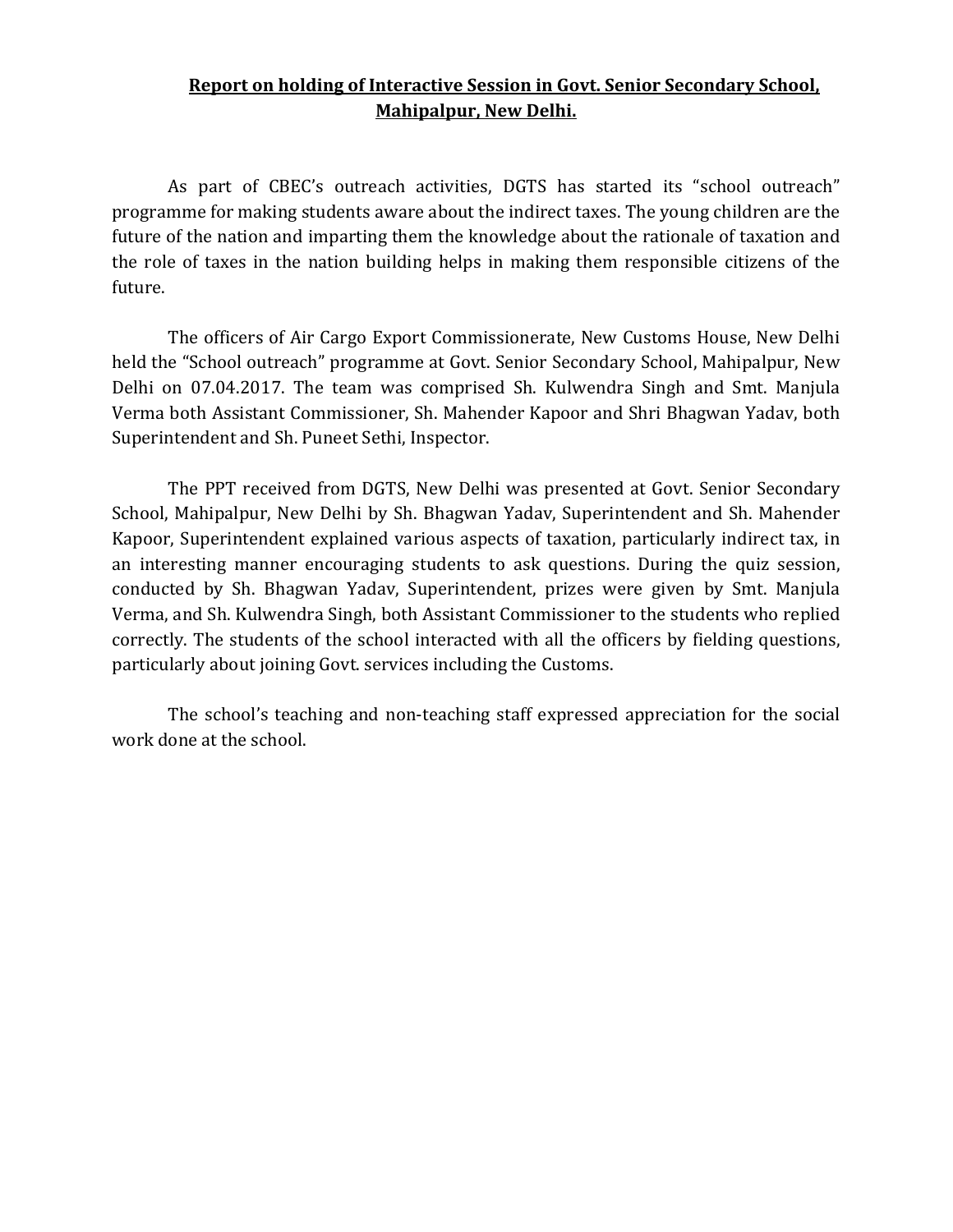## **Report on holding of Interactive Session in Govt. Senior Secondary School, Mahipalpur, New Delhi.**

As part of CBEC's outreach activities, DGTS has started its "school outreach" programme for making students aware about the indirect taxes. The young children are the future of the nation and imparting them the knowledge about the rationale of taxation and the role of taxes in the nation building helps in making them responsible citizens of the future. 

The officers of Air Cargo Export Commissionerate, New Customs House, New Delhi held the "School outreach" programme at Govt. Senior Secondary School, Mahipalpur, New Delhi on 07.04.2017. The team was comprised Sh. Kulwendra Singh and Smt. Manjula Verma both Assistant Commissioner, Sh. Mahender Kapoor and Shri Bhagwan Yadav, both Superintendent and Sh. Puneet Sethi, Inspector.

The PPT received from DGTS, New Delhi was presented at Govt. Senior Secondary School, Mahipalpur, New Delhi by Sh. Bhagwan Yadav, Superintendent and Sh. Mahender Kapoor, Superintendent explained various aspects of taxation, particularly indirect tax, in an interesting manner encouraging students to ask questions. During the quiz session, conducted by Sh. Bhagwan Yadav, Superintendent, prizes were given by Smt. Manjula Verma, and Sh. Kulwendra Singh, both Assistant Commissioner to the students who replied correctly. The students of the school interacted with all the officers by fielding questions, particularly about joining Govt. services including the Customs.

The school's teaching and non-teaching staff expressed appreciation for the social work done at the school.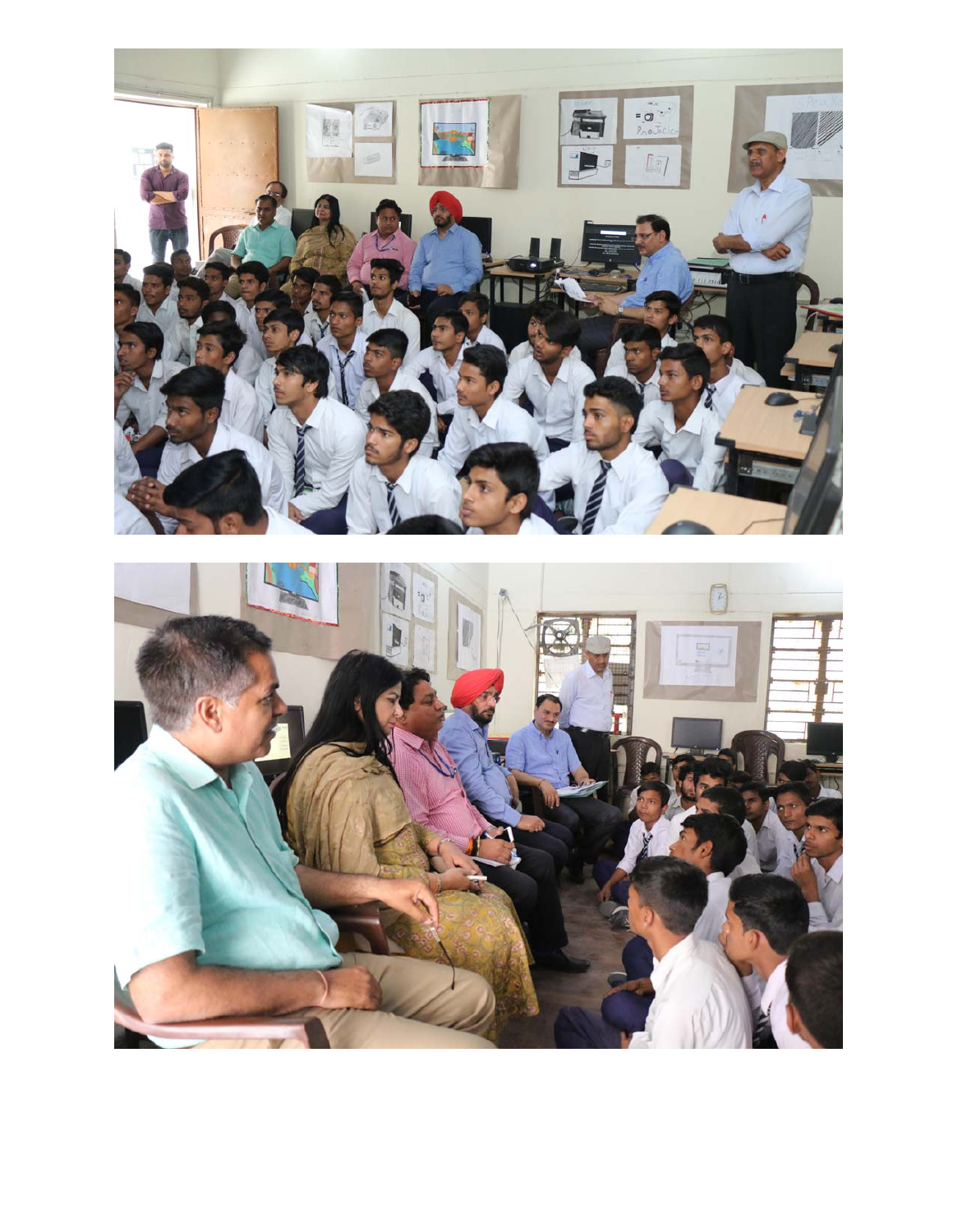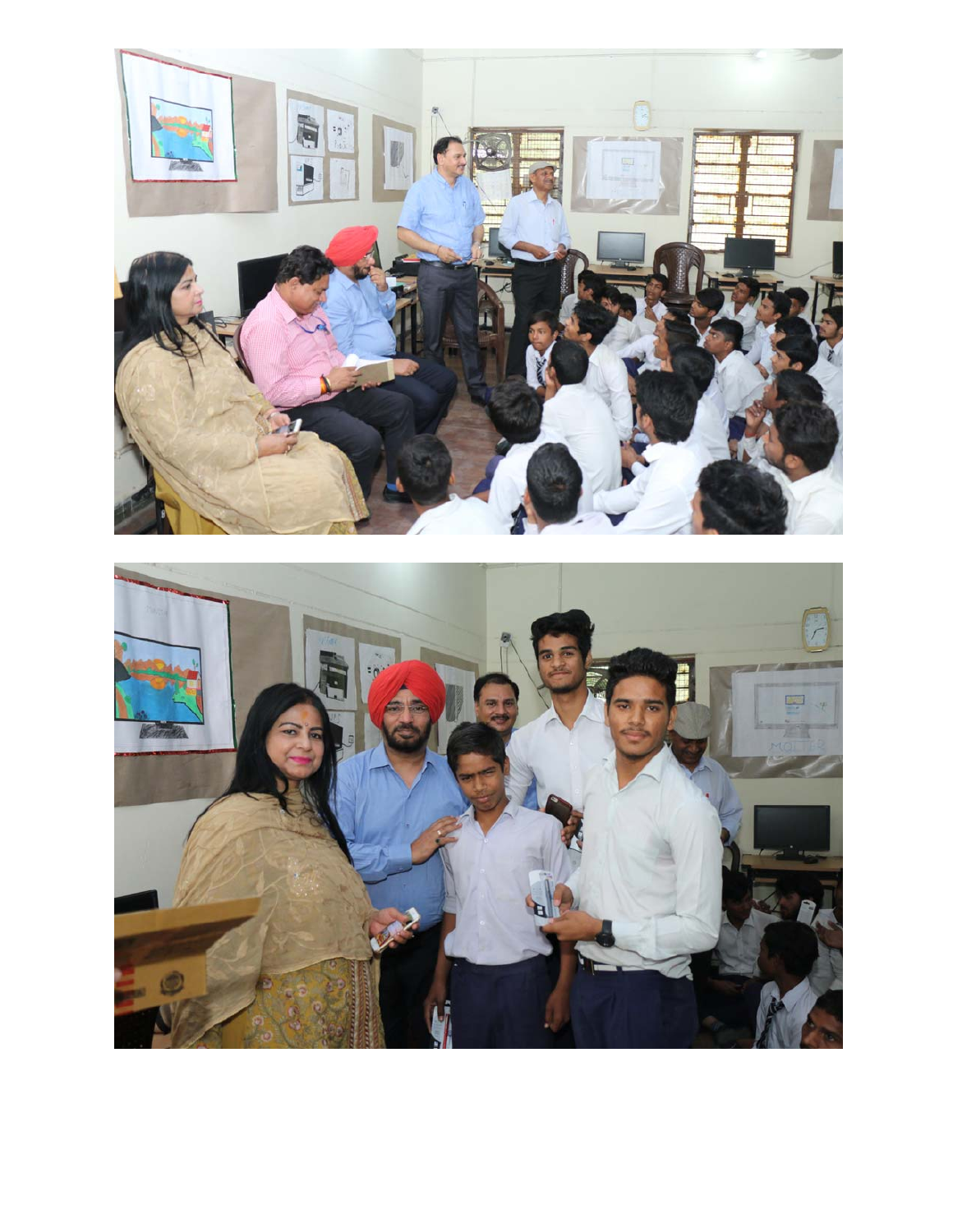